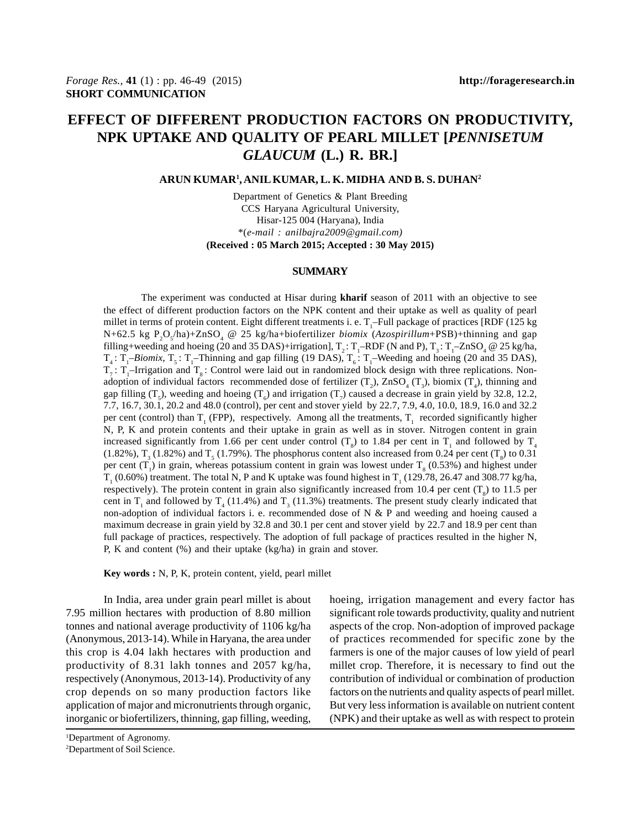# **EFFECT OF DIFFERENT PRODUCTION FACTORS ON PRODUCTIVITY, NPK UPTAKE AND QUALITY OF PEARL MILLET [***PENNISETUM GLAUCUM* **(L.) R. BR.]**

#### **ARUN KUMAR1 , ANIL KUMAR, L. K. MIDHA AND B. S. DUHAN2**

Department of Genetics & Plant Breeding CCS Haryana Agricultural University, Hisar-125 004 (Haryana), India \*(*e-mail : anilbajra2009@gmail.com)* **(Received : 05 March 2015; Accepted : 30 May 2015)**

## **SUMMARY**

The experiment was conducted at Hisar during **kharif** season of 2011 with an objective to see the effect of different production factors on the NPK content and their uptake as well as quality of pearl millet in terms of protein content. Eight different treatments i. e.  $T_1$ -Full package of practices [RDF (125 kg N+62.5 kg P<sub>2</sub>O<sub>5</sub>/ha)+ZnSO<sub>4</sub> @ 25 kg/ha+biofertilizer *biomix* (*Azospirillum*+PSB)+thinning and gap filling+weeding and hoeing (20 and 35 DAS)+irrigation],  $T_2$ :  $T_1$ -RDF (N and P),  $T_3$ :  $T_1$ -ZnSO<sub>4</sub> @ 25 kg/ha,  $T_4$ :  $T_1$ –*Biomix*,  $T_5$ :  $T_1$ –Thinning and gap filling (19 DAS),  $T_6$ :  $T_1$ –Weeding and hoeing (20 and 35 DAS),  $T_7$ :  $T_1$ -Irrigation and  $T_8$ : Control were laid out in randomized block design with three replications. Nonadoption of individual factors recommended dose of fertilizer  $(T_2)$ ,  $ZnSO_4(T_3)$ , biomix  $(T_4)$ , thinning and gap filling  $(T_5)$ , weeding and hoeing  $(T_6)$  and irrigation  $(T_7)$  caused a decrease in grain yield by 32.8, 12.2, 7.7, 16.7, 30.1, 20.2 and 48.0 (control), per cent and stover yield by 22.7, 7.9, 4.0, 10.0, 18.9, 16.0 and 32.2 per cent (control) than  $T_1$  (FPP), respectively. Among all the treatments,  $T_1$  recorded significantly higher N, P, K and protein contents and their uptake in grain as well as in stover. Nitrogen content in grain increased significantly from 1.66 per cent under control  $(T<sub>8</sub>)$  to 1.84 per cent in  $T<sub>1</sub>$  and followed by  $T<sub>4</sub>$  $(1.82\%)$ ,  $T_3$  (1.82%) and  $T_5$  (1.79%). The phosphorus content also increased from 0.24 per cent ( $T_8$ ) to 0.31 per cent  $(T_1)$  in grain, whereas potassium content in grain was lowest under  $T_8$  (0.53%) and highest under  $T_1$  (0.60%) treatment. The total N, P and K uptake was found highest in  $T_1$  (129.78, 26.47 and 308.77 kg/ha, respectively). The protein content in grain also significantly increased from 10.4 per cent  $(T<sub>8</sub>)$  to 11.5 per cent in  $T_1$  and followed by  $T_4$  (11.4%) and  $T_3$  (11.3%) treatments. The present study clearly indicated that non-adoption of individual factors i. e. recommended dose of N & P and weeding and hoeing caused a maximum decrease in grain yield by 32.8 and 30.1 per cent and stover yield by 22.7 and 18.9 per cent than full package of practices, respectively. The adoption of full package of practices resulted in the higher N, P, K and content (%) and their uptake (kg/ha) in grain and stover.

**Key words :** N, P, K, protein content, yield, pearl millet

In India, area under grain pearl millet is about 7.95 million hectares with production of 8.80 million tonnes and national average productivity of 1106 kg/ha (Anonymous, 2013-14). While in Haryana, the area under this crop is 4.04 lakh hectares with production and productivity of 8.31 lakh tonnes and 2057 kg/ha, respectively (Anonymous, 2013-14). Productivity of any crop depends on so many production factors like application of major and micronutrients through organic, inorganic or biofertilizers, thinning, gap filling, weeding,

hoeing, irrigation management and every factor has significant role towards productivity, quality and nutrient aspects of the crop. Non-adoption of improved package of practices recommended for specific zone by the farmers is one of the major causes of low yield of pearl millet crop. Therefore, it is necessary to find out the contribution of individual or combination of production factors on the nutrients and quality aspects of pearl millet. But very less information is available on nutrient content (NPK) and their uptake as well as with respect to protein

<sup>2</sup> Department of Soil Science.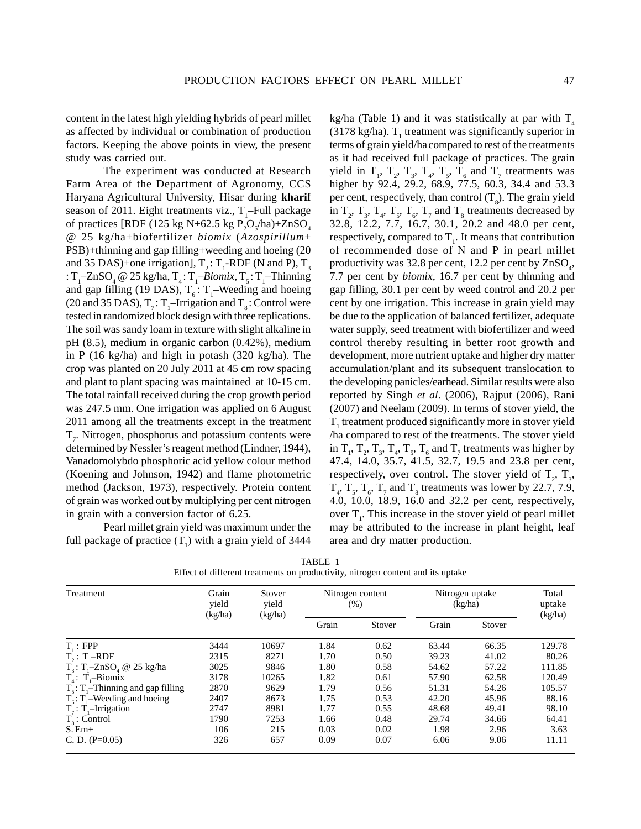content in the latest high yielding hybrids of pearl millet as affected by individual or combination of production factors. Keeping the above points in view, the present study was carried out.

The experiment was conducted at Research Farm Area of the Department of Agronomy, CCS Haryana Agricultural University, Hisar during **kharif** season of 2011. Eight treatments viz.,  $T_1$ -Full package of practices [RDF (125 kg N+62.5 kg  $P_2O_s/ha$ )+ZnSO<sub>4</sub> @ 25 kg/ha+biofertilizer *biomix* (*Azospirillum*+ PSB)+thinning and gap filling+weeding and hoeing (20 and 35 DAS)+one irrigation],  $T_2$ :  $T_1$ -RDF (N and P),  $T_3$ :  $T_1$ –ZnSO<sub>4</sub> @ 25 kg/ha,  $T_4$ :  $T_1$ –*Biomix*,  $T_5$ :  $T_1$ –Thinning and gap filling (19 DAS),  $T_6$ :  $T_1$ –Weeding and hoeing (20 and 35 DAS),  $T_7$ :  $T_1$ -Irrigation and  $T_8$ : Control were tested in randomized block design with three replications. The soil was sandy loam in texture with slight alkaline in pH (8.5), medium in organic carbon (0.42%), medium in P (16 kg/ha) and high in potash (320 kg/ha). The crop was planted on 20 July 2011 at 45 cm row spacing and plant to plant spacing was maintained at 10-15 cm. The total rainfall received during the crop growth period was 247.5 mm. One irrigation was applied on 6 August 2011 among all the treatments except in the treatment  $T_{7}$ . Nitrogen, phosphorus and potassium contents were determined by Nessler's reagent method (Lindner, 1944), Vanadomolybdo phosphoric acid yellow colour method (Koening and Johnson, 1942) and flame photometric method (Jackson, 1973), respectively. Protein content of grain was worked out by multiplying per cent nitrogen in grain with a conversion factor of 6.25.

Pearl millet grain yield was maximum under the full package of practice  $(T_1)$  with a grain yield of 3444 kg/ha (Table 1) and it was statistically at par with  $T_4$ (3178 kg/ha).  $T_1$  treatment was significantly superior in terms of grain yield/ha compared to rest of the treatments as it had received full package of practices. The grain yield in  $T_1$ ,  $T_2$ ,  $T_3$ ,  $T_4$ ,  $T_5$ ,  $T_6$  and  $T_7$  treatments was higher by 92.4, 29.2, 68.9, 77.5, 60.3, 34.4 and 53.3 per cent, respectively, than control  $(T<sub>8</sub>)$ . The grain yield in  $T_2$ ,  $T_3$ ,  $T_4$ ,  $T_5$ ,  $T_6$ ,  $T_7$  and  $T_8$  treatments decreased by 32.8, 12.2, 7.7, 16.7, 30.1, 20.2 and 48.0 per cent, respectively, compared to  $T<sub>1</sub>$ . It means that contribution of recommended dose of N and P in pearl millet productivity was  $32.8$  per cent,  $12.2$  per cent by  $ZnSO<sub>4</sub>$ , 7.7 per cent by *biomix,* 16.7 per cent by thinning and gap filling, 30.1 per cent by weed control and 20.2 per cent by one irrigation. This increase in grain yield may be due to the application of balanced fertilizer, adequate water supply, seed treatment with biofertilizer and weed control thereby resulting in better root growth and development, more nutrient uptake and higher dry matter accumulation/plant and its subsequent translocation to the developing panicles/earhead. Similar results were also reported by Singh *et al*. (2006), Rajput (2006), Rani (2007) and Neelam (2009). In terms of stover yield, the  $T<sub>1</sub>$  treatment produced significantly more in stover yield /ha compared to rest of the treatments. The stover yield in  $T_1$ ,  $T_2$ ,  $T_3$ ,  $T_4$ ,  $T_5$ ,  $T_6$  and  $T_7$  treatments was higher by 47.4, 14.0, 35.7, 41.5, 32.7, 19.5 and 23.8 per cent, respectively, over control. The stover yield of  $T_2$ ,  $T_3$ ,  $T_4$ ,  $T_5$ ,  $T_6$ ,  $T_7$  and  $T_8$  treatments was lower by 22.7, 7.9, 4.0, 10.0, 18.9, 16.0 and 32.2 per cent, respectively, over  $T_i$ . This increase in the stover yield of pearl millet may be attributed to the increase in plant height, leaf area and dry matter production.

| Treatment                                            | Grain<br>Stover<br>Nitrogen content<br>yield<br>yield<br>$(\%)$<br>(kg/ha)<br>(kg/ha) |       |       | Nitrogen uptake<br>(kg/ha) |       | Total<br>uptake<br>(kg/ha) |        |
|------------------------------------------------------|---------------------------------------------------------------------------------------|-------|-------|----------------------------|-------|----------------------------|--------|
|                                                      |                                                                                       |       | Grain | Stover                     | Grain | Stover                     |        |
| $T_{\cdot}$ : FPP                                    | 3444                                                                                  | 10697 | 1.84  | 0.62                       | 63.44 | 66.35                      | 129.78 |
| $T_1$ : $T_1$ -RDF                                   | 2315                                                                                  | 8271  | 1.70  | 0.50                       | 39.23 | 41.02                      | 80.26  |
| $T_3$ : T <sub>1</sub> -ZnSO <sub>4</sub> @ 25 kg/ha | 3025                                                                                  | 9846  | 1.80  | 0.58                       | 54.62 | 57.22                      | 111.85 |
| $T_i$ : T <sub>i</sub> -Biomix                       | 3178                                                                                  | 10265 | 1.82  | 0.61                       | 57.90 | 62.58                      | 120.49 |
| $T_s$ : $T_i$ –Thinning and gap filling              | 2870                                                                                  | 9629  | 1.79  | 0.56                       | 51.31 | 54.26                      | 105.57 |
| $T_{6}:$ T <sub>1</sub> -Weeding and hoeing          | 2407                                                                                  | 8673  | 1.75  | 0.53                       | 42.20 | 45.96                      | 88.16  |
| $T_1$ : $T_1$ -Irrigation                            | 2747                                                                                  | 8981  | 1.77  | 0.55                       | 48.68 | 49.41                      | 98.10  |
| $T_{\rm s}$ : Control                                | 1790                                                                                  | 7253  | 1.66  | 0.48                       | 29.74 | 34.66                      | 64.41  |
| S. Em±                                               | 106                                                                                   | 215   | 0.03  | 0.02                       | 1.98  | 2.96                       | 3.63   |
| C. D. $(P=0.05)$                                     | 326                                                                                   | 657   | 0.09  | 0.07                       | 6.06  | 9.06                       | 11.11  |

TABLE 1 Effect of different treatments on productivity, nitrogen content and its uptake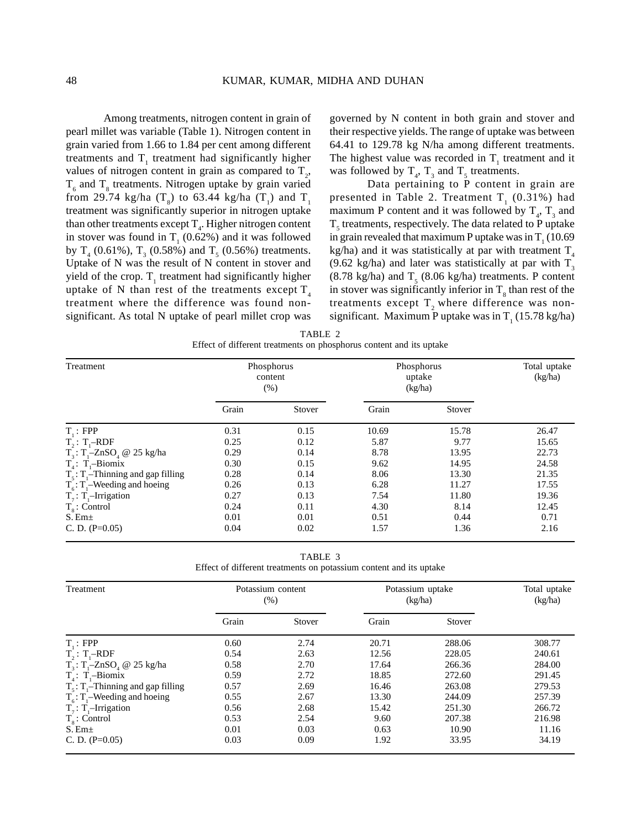Among treatments, nitrogen content in grain of pearl millet was variable (Table 1). Nitrogen content in grain varied from 1.66 to 1.84 per cent among different treatments and  $T<sub>1</sub>$  treatment had significantly higher values of nitrogen content in grain as compared to  $T_2$ ,  $T<sub>6</sub>$  and  $T<sub>8</sub>$  treatments. Nitrogen uptake by grain varied from 29.74 kg/ha  $(T<sub>8</sub>)$  to 63.44 kg/ha  $(T<sub>1</sub>)$  and  $T<sub>1</sub>$ treatment was significantly superior in nitrogen uptake than other treatments except  $T_{4}$ . Higher nitrogen content in stover was found in  $T_1$  (0.62%) and it was followed by  $T_4$  (0.61%),  $T_3$  (0.58%) and  $T_5$  (0.56%) treatments. Uptake of N was the result of N content in stover and yield of the crop.  $T_1$  treatment had significantly higher uptake of N than rest of the treatments except  $T_{4}$ treatment where the difference was found nonsignificant. As total N uptake of pearl millet crop was governed by N content in both grain and stover and their respective yields. The range of uptake was between 64.41 to 129.78 kg N/ha among different treatments. The highest value was recorded in  $T_1$  treatment and it was followed by  $T_4$ ,  $T_3$  and  $T_5$  treatments.

Data pertaining to P content in grain are presented in Table 2. Treatment  $T_{1}$  (0.31%) had maximum P content and it was followed by  $T_4$ ,  $T_3$  and  $T<sub>5</sub>$  treatments, respectively. The data related to P uptake in grain revealed that maximum P uptake was in  $T_1(10.69)$ kg/ha) and it was statistically at par with treatment  $T<sub>4</sub>$ (9.62 kg/ha) and later was statistically at par with  $T_3$  $(8.78 \text{ kg/ha})$  and  $T<sub>5</sub>$   $(8.06 \text{ kg/ha})$  treatments. P content in stover was significantly inferior in  $T_s$  than rest of the treatments except  $T_2$  where difference was nonsignificant. Maximum P uptake was in  $T_1$  (15.78 kg/ha)

| TABLE 2                                                             |  |
|---------------------------------------------------------------------|--|
| Effect of different treatments on phosphorus content and its uptake |  |

| Treatment                                            | Phosphorus<br>content<br>(% ) |        | Phosphorus<br>uptake<br>(kg/ha) |        | Total uptake<br>(kg/ha) |
|------------------------------------------------------|-------------------------------|--------|---------------------------------|--------|-------------------------|
|                                                      | Grain                         | Stover | Grain                           | Stover |                         |
| $T_1$ : FPP                                          | 0.31                          | 0.15   | 10.69                           | 15.78  | 26.47                   |
| $T_1$ : $T_1$ –RDF                                   | 0.25                          | 0.12   | 5.87                            | 9.77   | 15.65                   |
| $T_3$ : T <sub>1</sub> -ZnSO <sub>4</sub> @ 25 kg/ha | 0.29                          | 0.14   | 8.78                            | 13.95  | 22.73                   |
| $T_{4}$ : T <sub>1</sub> -Biomix                     | 0.30                          | 0.15   | 9.62                            | 14.95  | 24.58                   |
| $T_s$ : $T_1$ –Thinning and gap filling              | 0.28                          | 0.14   | 8.06                            | 13.30  | 21.35                   |
| $T_6$ : $T_1$ –Weeding and hoeing                    | 0.26                          | 0.13   | 6.28                            | 11.27  | 17.55                   |
| $T_7$ : T <sub>1</sub> -Irrigation                   | 0.27                          | 0.13   | 7.54                            | 11.80  | 19.36                   |
| $T_s$ : Control                                      | 0.24                          | 0.11   | 4.30                            | 8.14   | 12.45                   |
| $S.$ Em $\pm$                                        | 0.01                          | 0.01   | 0.51                            | 0.44   | 0.71                    |
| C. D. $(P=0.05)$                                     | 0.04                          | 0.02   | 1.57                            | 1.36   | 2.16                    |

TABLE 3 Effect of different treatments on potassium content and its uptake

| Treatment                                            | Potassium content<br>(% ) |        | Potassium uptake<br>(kg/ha) |        | Total uptake<br>(kg/ha) |
|------------------------------------------------------|---------------------------|--------|-----------------------------|--------|-------------------------|
|                                                      | Grain                     | Stover | Grain                       | Stover |                         |
| $T_1$ : FPP                                          | 0.60                      | 2.74   | 20.71                       | 288.06 | 308.77                  |
| $T_1$ : $T_1$ –RDF                                   | 0.54                      | 2.63   | 12.56                       | 228.05 | 240.61                  |
| $T_3$ : T <sub>1</sub> -ZnSO <sub>4</sub> @ 25 kg/ha | 0.58                      | 2.70   | 17.64                       | 266.36 | 284.00                  |
| $T_{4}$ : T <sub>1</sub> -Biomix                     | 0.59                      | 2.72   | 18.85                       | 272.60 | 291.45                  |
| $T_s$ : $T_i$ –Thinning and gap filling              | 0.57                      | 2.69   | 16.46                       | 263.08 | 279.53                  |
| $T_{6}$ : T <sub>1</sub> –Weeding and hoeing         | 0.55                      | 2.67   | 13.30                       | 244.09 | 257.39                  |
| $T_7$ : T <sub>1</sub> -Irrigation                   | 0.56                      | 2.68   | 15.42                       | 251.30 | 266.72                  |
| $T_s$ : Control                                      | 0.53                      | 2.54   | 9.60                        | 207.38 | 216.98                  |
| $S.$ Em $\pm$                                        | 0.01                      | 0.03   | 0.63                        | 10.90  | 11.16                   |
| C. D. $(P=0.05)$                                     | 0.03                      | 0.09   | 1.92                        | 33.95  | 34.19                   |